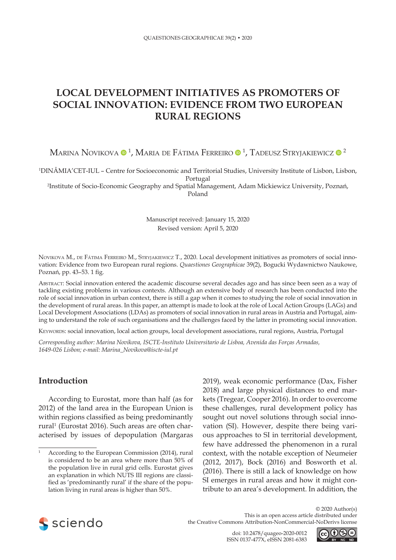# **LOCAL DEVELOPMENT INITIATIVES AS PROMOTERS OF SOCIAL INNOVATION: EVIDENCE FROM TWO EUROPEAN RURAL REGIONS**

Marina Novikova ® <sup>1</sup>, Maria de Fátima Ferreiro ® <sup>1</sup>, Tadeusz Stryjakiewicz ® <sup>2</sup>

1 DINÂMIA'CET-IUL – Centre for Socioeconomic and Territorial Studies, University Institute of Lisbon, Lisbon, Portugal

2 Institute of Socio-Economic Geography and Spatial Management, Adam Mickiewicz University, Poznań, Poland

> Manuscript received: January 15, 2020 Revised version: April 5, 2020

NOVIKOVA M., DE FÁTIMA FERREIRO M., STRYJAKIEWICZ T., 2020. Local development initiatives as promoters of social innovation: Evidence from two European rural regions. *Quaestiones Geographicae* 39(2), Bogucki Wydawnictwo Naukowe, Poznań, pp. 43–53. 1 fig.

Abstract: Social innovation entered the academic discourse several decades ago and has since been seen as a way of tackling existing problems in various contexts. Although an extensive body of research has been conducted into the role of social innovation in urban context, there is still a gap when it comes to studying the role of social innovation in the development of rural areas. In this paper, an attempt is made to look at the role of Local Action Groups (LAGs) and Local Development Associations (LDAs) as promoters of social innovation in rural areas in Austria and Portugal, aiming to understand the role of such organisations and the challenges faced by the latter in promoting social innovation.

KEYWORDS: social innovation, local action groups, local development associations, rural regions, Austria, Portugal

*Corresponding author: Marina Novikova, ISCTE-Instituto Universitario de Lisboa, Avenida das Forças Armadas, 1649-026 Lisbon; e-mail: Marina\_Novikova@iscte-iul.pt*

## **Introduction**

According to Eurostat, more than half (as for 2012) of the land area in the European Union is within regions classified as being predominantly rural1 (Eurostat 2016). Such areas are often characterised by issues of depopulation (Margaras

2019), weak economic performance (Dax, Fisher 2018) and large physical distances to end markets (Tregear, Cooper 2016). In order to overcome these challenges, rural development policy has sought out novel solutions through social innovation (SI). However, despite there being various approaches to SI in territorial development, few have addressed the phenomenon in a rural context, with the notable exception of Neumeier (2012, 2017), Bock (2016) and Bosworth et al. (2016). There is still a lack of knowledge on how SI emerges in rural areas and how it might contribute to an area's development. In addition, the





According to the European Commission (2014), rural is considered to be an area where more than 50% of the population live in rural grid cells. Eurostat gives an explanation in which NUTS III regions are classified as 'predominantly rural' if the share of the population living in rural areas is higher than 50%.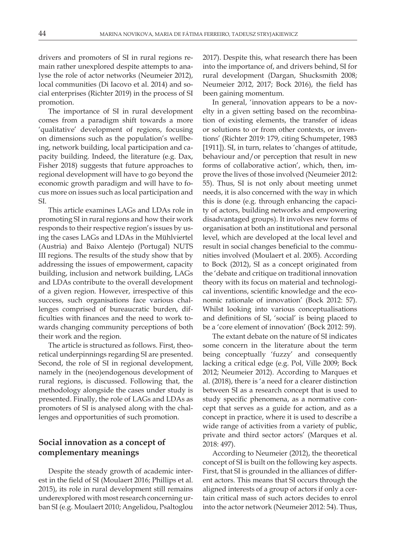drivers and promoters of SI in rural regions remain rather unexplored despite attempts to analyse the role of actor networks (Neumeier 2012), local communities (Di Iacovo et al. 2014) and social enterprises (Richter 2019) in the process of SI promotion.

The importance of SI in rural development comes from a paradigm shift towards a more 'qualitative' development of regions, focusing on dimensions such as the population's wellbeing, network building, local participation and capacity building. Indeed, the literature (e.g. Dax, Fisher 2018) suggests that future approaches to regional development will have to go beyond the economic growth paradigm and will have to focus more on issues such as local participation and SI.

This article examines LAGs and LDAs role in promoting SI in rural regions and how their work responds to their respective region's issues by using the cases LAGs and LDAs in the Mühlviertel (Austria) and Baixo Alentejo (Portugal) NUTS III regions. The results of the study show that by addressing the issues of empowerment, capacity building, inclusion and network building, LAGs and LDAs contribute to the overall development of a given region. However, irrespective of this success, such organisations face various challenges comprised of bureaucratic burden, difficulties with finances and the need to work towards changing community perceptions of both their work and the region.

The article is structured as follows. First, theoretical underpinnings regarding SI are presented. Second, the role of SI in regional development, namely in the (neo)endogenous development of rural regions, is discussed. Following that, the methodology alongside the cases under study is presented. Finally, the role of LAGs and LDAs as promoters of SI is analysed along with the challenges and opportunities of such promotion.

## **Social innovation as a concept of complementary meanings**

Despite the steady growth of academic interest in the field of SI (Moulaert 2016; Phillips et al. 2015), its role in rural development still remains underexplored with most research concerning urban SI (e.g. Moulaert 2010; Angelidou, Psaltoglou

2017). Despite this, what research there has been into the importance of, and drivers behind, SI for rural development (Dargan, Shucksmith 2008; Neumeier 2012, 2017; Bock 2016), the field has been gaining momentum.

In general, 'innovation appears to be a novelty in a given setting based on the recombination of existing elements, the transfer of ideas or solutions to or from other contexts, or inventions' (Richter 2019: 179, citing Schumpeter, 1983 [1911]). SI, in turn, relates to 'changes of attitude, behaviour and/or perception that result in new forms of collaborative action', which, then, improve the lives of those involved (Neumeier 2012: 55). Thus, SI is not only about meeting unmet needs, it is also concerned with the way in which this is done (e.g. through enhancing the capacity of actors, building networks and empowering disadvantaged groups). It involves new forms of organisation at both an institutional and personal level, which are developed at the local level and result in social changes beneficial to the communities involved (Moulaert et al. 2005). According to Bock (2012), SI as a concept originated from the 'debate and critique on traditional innovation theory with its focus on material and technological inventions, scientific knowledge and the economic rationale of innovation' (Bock 2012: 57). Whilst looking into various conceptualisations and definitions of SI, 'social' is being placed to be a 'core element of innovation' (Bock 2012: 59).

The extant debate on the nature of SI indicates some concern in the literature about the term being conceptually 'fuzzy' and consequently lacking a critical edge (e.g. Pol, Ville 2009; Bock 2012; Neumeier 2012). According to Marques et al. (2018), there is 'a need for a clearer distinction between SI as a research concept that is used to study specific phenomena, as a normative concept that serves as a guide for action, and as a concept in practice, where it is used to describe a wide range of activities from a variety of public, private and third sector actors' (Marques et al. 2018: 497).

According to Neumeier (2012), the theoretical concept of SI is built on the following key aspects. First, that SI is grounded in the alliances of different actors. This means that SI occurs through the aligned interests of a group of actors if only a certain critical mass of such actors decides to enrol into the actor network (Neumeier 2012: 54). Thus,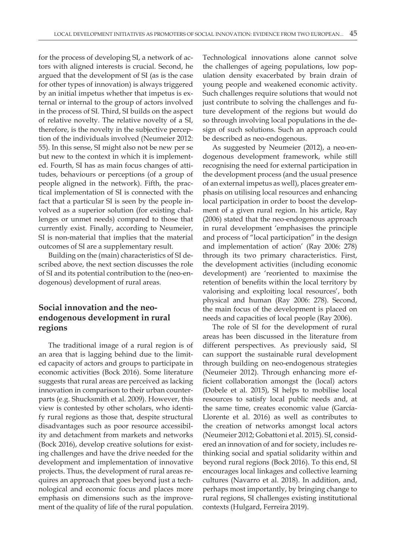for the process of developing SI, a network of actors with aligned interests is crucial. Second, he argued that the development of SI (as is the case for other types of innovation) is always triggered by an initial impetus whether that impetus is external or internal to the group of actors involved in the process of SI. Third, SI builds on the aspect of relative novelty. The relative novelty of a SI, therefore, is the novelty in the subjective perception of the individuals involved (Neumeier 2012: 55). In this sense, SI might also not be new per se but new to the context in which it is implemented. Fourth, SI has as main focus changes of attitudes, behaviours or perceptions (of a group of people aligned in the network). Fifth, the practical implementation of SI is connected with the fact that a particular SI is seen by the people involved as a superior solution (for existing challenges or unmet needs) compared to those that currently exist. Finally, according to Neumeier, SI is non-material that implies that the material outcomes of SI are a supplementary result.

Building on the (main) characteristics of SI described above, the next section discusses the role of SI and its potential contribution to the (neo-endogenous) development of rural areas.

## **Social innovation and the neoendogenous development in rural regions**

The traditional image of a rural region is of an area that is lagging behind due to the limited capacity of actors and groups to participate in economic activities (Bock 2016). Some literature suggests that rural areas are perceived as lacking innovation in comparison to their urban counterparts (e.g. Shucksmith et al. 2009). However, this view is contested by other scholars, who identify rural regions as those that, despite structural disadvantages such as poor resource accessibility and detachment from markets and networks (Bock 2016), develop creative solutions for existing challenges and have the drive needed for the development and implementation of innovative projects. Thus, the development of rural areas requires an approach that goes beyond just a technological and economic focus and places more emphasis on dimensions such as the improvement of the quality of life of the rural population.

Technological innovations alone cannot solve the challenges of ageing populations, low population density exacerbated by brain drain of young people and weakened economic activity. Such challenges require solutions that would not just contribute to solving the challenges and future development of the regions but would do so through involving local populations in the design of such solutions. Such an approach could be described as neo-endogenous.

As suggested by Neumeier (2012), a neo-endogenous development framework, while still recognising the need for external participation in the development process (and the usual presence of an external impetus as well), places greater emphasis on utilising local resources and enhancing local participation in order to boost the development of a given rural region. In his article, Ray (2006) stated that the neo-endogenous approach in rural development 'emphasises the principle and process of "local participation" in the design and implementation of action' (Ray 2006: 278) through its two primary characteristics. First, the development activities (including economic development) are 'reoriented to maximise the retention of benefits within the local territory by valorising and exploiting local resources', both physical and human (Ray 2006: 278). Second, the main focus of the development is placed on needs and capacities of local people (Ray 2006).

The role of SI for the development of rural areas has been discussed in the literature from different perspectives. As previously said, SI can support the sustainable rural development through building on neo-endogenous strategies (Neumeier 2012). Through enhancing more efficient collaboration amongst the (local) actors (Dobele et al. 2015), SI helps to mobilise local resources to satisfy local public needs and, at the same time, creates economic value (García-Llorente et al. 2016) as well as contributes to the creation of networks amongst local actors (Neumeier 2012; Gobattoni et al. 2015). SI, considered an innovation of and for society, includes rethinking social and spatial solidarity within and beyond rural regions (Bock 2016). To this end, SI encourages local linkages and collective learning cultures (Navarro et al. 2018). In addition, and, perhaps most importantly, by bringing change to rural regions, SI challenges existing institutional contexts (Hulgard, Ferreira 2019).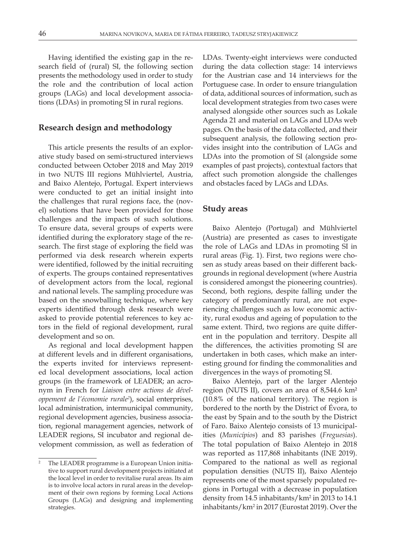Having identified the existing gap in the research field of (rural) SI, the following section presents the methodology used in order to study the role and the contribution of local action groups (LAGs) and local development associations (LDAs) in promoting SI in rural regions.

### **Research design and methodology**

This article presents the results of an explorative study based on semi-structured interviews conducted between October 2018 and May 2019 in two NUTS III regions Mühlviertel, Austria, and Baixo Alentejo, Portugal. Expert interviews were conducted to get an initial insight into the challenges that rural regions face, the (novel) solutions that have been provided for those challenges and the impacts of such solutions. To ensure data, several groups of experts were identified during the exploratory stage of the research. The first stage of exploring the field was performed via desk research wherein experts were identified, followed by the initial recruiting of experts. The groups contained representatives of development actors from the local, regional and national levels. The sampling procedure was based on the snowballing technique, where key experts identified through desk research were asked to provide potential references to key actors in the field of regional development, rural development and so on.

As regional and local development happen at different levels and in different organisations, the experts invited for interviews represented local development associations, local action groups (in the framework of LEADER; an acronym in French for *Liaison entre actions de développement de l'économie rurale2* ), social enterprises, local administration, intermunicipal community, regional development agencies, business association, regional management agencies, network of LEADER regions, SI incubator and regional development commission, as well as federation of

LDAs. Twenty-eight interviews were conducted during the data collection stage: 14 interviews for the Austrian case and 14 interviews for the Portuguese case. In order to ensure triangulation of data, additional sources of information, such as local development strategies from two cases were analysed alongside other sources such as Lokale Agenda 21 and material on LAGs and LDAs web pages. On the basis of the data collected, and their subsequent analysis, the following section provides insight into the contribution of LAGs and LDAs into the promotion of SI (alongside some examples of past projects), contextual factors that affect such promotion alongside the challenges and obstacles faced by LAGs and LDAs.

### **Study areas**

Baixo Alentejo (Portugal) and Mühlviertel (Austria) are presented as cases to investigate the role of LAGs and LDAs in promoting SI in rural areas (Fig. 1). First, two regions were chosen as study areas based on their different backgrounds in regional development (where Austria is considered amongst the pioneering countries). Second, both regions, despite falling under the category of predominantly rural, are not experiencing challenges such as low economic activity, rural exodus and ageing of population to the same extent. Third, two regions are quite different in the population and territory. Despite all the differences, the activities promoting SI are undertaken in both cases, which make an interesting ground for finding the commonalities and divergences in the ways of promoting SI.

Baixo Alentejo, part of the larger Alentejo region (NUTS II), covers an area of 8,544.6 km² (10.8% of the national territory). The region is bordered to the north by the District of Évora, to the east by Spain and to the south by the District of Faro. Baixo Alentejo consists of 13 municipalities (*Municípios*) and 83 parishes (*Freguesias*). The total population of Baixo Alentejo in 2018 was reported as 117,868 inhabitants (INE 2019). Compared to the national as well as regional population densities (NUTS II), Baixo Alentejo represents one of the most sparsely populated regions in Portugal with a decrease in population density from 14.5 inhabitants/km<sup>2</sup> in 2013 to 14.1 inhabitants/km<sup>2</sup> in 2017 (Eurostat 2019). Over the

The LEADER programme is a European Union initiative to support rural development projects initiated at the local level in order to revitalise rural areas. Its aim is to involve local actors in rural areas in the development of their own regions by forming Local Actions Groups (LAGs) and designing and implementing strategies.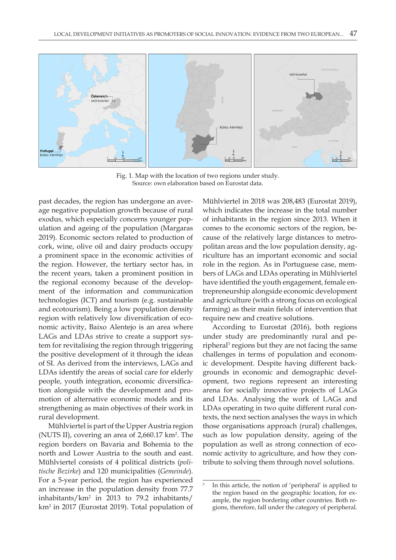

Fig. 1. Map with the location of two regions under study. Source: own elaboration based on Eurostat data.

past decades, the region has undergone an average negative population growth because of rural exodus, which especially concerns younger population and ageing of the population (Margaras 2019). Economic sectors related to production of cork, wine, olive oil and dairy products occupy a prominent space in the economic activities of the region. However, the tertiary sector has, in the recent years, taken a prominent position in the regional economy because of the development of the information and communication technologies (ICT) and tourism (e.g. sustainable and ecotourism). Being a low population density region with relatively low diversification of economic activity, Baixo Alentejo is an area where LAGs and LDAs strive to create a support system for revitalising the region through triggering the positive development of it through the ideas of SI. As derived from the interviews, LAGs and LDAs identify the areas of social care for elderly people, youth integration, economic diversification alongside with the development and promotion of alternative economic models and its strengthening as main objectives of their work in rural development.

Mühlviertel is part of the Upper Austria region (NUTS II), covering an area of 2,660.17 km<sup>2</sup>. The region borders on Bavaria and Bohemia to the north and Lower Austria to the south and east. Mühlviertel consists of 4 political districts (*politische Bezirke*) and 120 municipalities (*Gemeinde*). For a 5-year period, the region has experienced an increase in the population density from 77.7 inhabitants/km<sup>2</sup> in 2013 to 79.2 inhabitants/ km2 in 2017 (Eurostat 2019). Total population of Mühlviertel in 2018 was 208,483 (Eurostat 2019), which indicates the increase in the total number of inhabitants in the region since 2013. When it comes to the economic sectors of the region, because of the relatively large distances to metropolitan areas and the low population density, agriculture has an important economic and social role in the region. As in Portuguese case, members of LAGs and LDAs operating in Mühlviertel have identified the youth engagement, female entrepreneurship alongside economic development and agriculture (with a strong focus on ecological farming) as their main fields of intervention that require new and creative solutions.

According to Eurostat (2016), both regions under study are predominantly rural and peripheral<sup>3</sup> regions but they are not facing the same challenges in terms of population and economic development. Despite having different backgrounds in economic and demographic development, two regions represent an interesting arena for socially innovative projects of LAGs and LDAs. Analysing the work of LAGs and LDAs operating in two quite different rural contexts, the next section analyses the ways in which those organisations approach (rural) challenges, such as low population density, ageing of the population as well as strong connection of economic activity to agriculture, and how they contribute to solving them through novel solutions.

In this article, the notion of 'peripheral' is applied to the region based on the geographic location, for example, the region bordering other countries. Both regions, therefore, fall under the category of peripheral.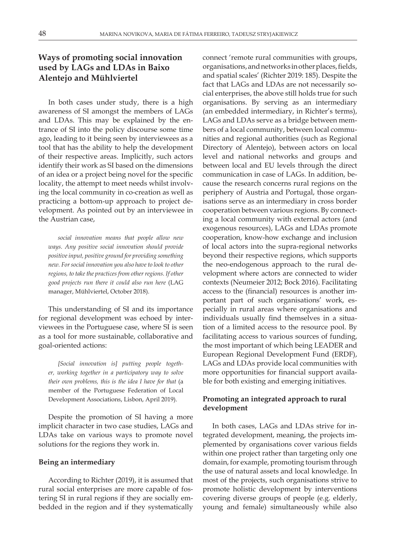## **Ways of promoting social innovation used by LAGs and LDAs in Baixo Alentejo and Mühlviertel**

In both cases under study, there is a high awareness of SI amongst the members of LAGs and LDAs. This may be explained by the entrance of SI into the policy discourse some time ago, leading to it being seen by interviewees as a tool that has the ability to help the development of their respective areas. Implicitly, such actors identify their work as SI based on the dimensions of an idea or a project being novel for the specific locality, the attempt to meet needs whilst involving the local community in co-creation as well as practicing a bottom-up approach to project development. As pointed out by an interviewee in the Austrian case,

*social innovation means that people allow new ways. Any positive social innovation should provide positive input, positive ground for providing something new. For social innovation you also have to look to other regions, to take the practices from other regions. If other good projects run there it could also run here* (LAG manager, Mühlviertel, October 2018).

This understanding of SI and its importance for regional development was echoed by interviewees in the Portuguese case, where SI is seen as a tool for more sustainable, collaborative and goal-oriented actions:

*[Social innovation is] putting people together, working together in a participatory way to solve their own problems, this is the idea I have for that* (a member of the Portuguese Federation of Local Development Associations, Lisbon, April 2019).

Despite the promotion of SI having a more implicit character in two case studies, LAGs and LDAs take on various ways to promote novel solutions for the regions they work in.

#### **Being an intermediary**

According to Richter (2019), it is assumed that rural social enterprises are more capable of fostering SI in rural regions if they are socially embedded in the region and if they systematically

connect 'remote rural communities with groups, organisations, and networks in other places, fields, and spatial scales' (Richter 2019: 185). Despite the fact that LAGs and LDAs are not necessarily social enterprises, the above still holds true for such organisations. By serving as an intermediary (an embedded intermediary, in Richter's terms), LAGs and LDAs serve as a bridge between members of a local community, between local communities and regional authorities (such as Regional Directory of Alentejo), between actors on local level and national networks and groups and between local and EU levels through the direct communication in case of LAGs. In addition, because the research concerns rural regions on the periphery of Austria and Portugal, those organisations serve as an intermediary in cross border cooperation between various regions. By connecting a local community with external actors (and exogenous resources), LAGs and LDAs promote cooperation, know-how exchange and inclusion of local actors into the supra-regional networks beyond their respective regions, which supports the neo-endogenous approach to the rural development where actors are connected to wider contexts (Neumeier 2012; Bock 2016). Facilitating access to the (financial) resources is another important part of such organisations' work, especially in rural areas where organisations and individuals usually find themselves in a situation of a limited access to the resource pool. By facilitating access to various sources of funding, the most important of which being LEADER and European Regional Development Fund (ERDF), LAGs and LDAs provide local communities with more opportunities for financial support available for both existing and emerging initiatives.

### **Promoting an integrated approach to rural development**

In both cases, LAGs and LDAs strive for integrated development, meaning, the projects implemented by organisations cover various fields within one project rather than targeting only one domain, for example, promoting tourism through the use of natural assets and local knowledge. In most of the projects, such organisations strive to promote holistic development by interventions covering diverse groups of people (e.g. elderly, young and female) simultaneously while also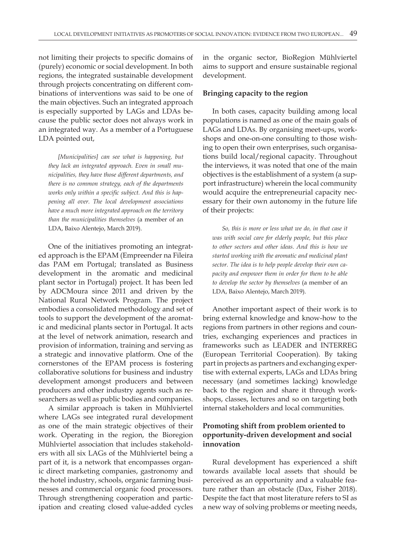not limiting their projects to specific domains of (purely) economic or social development. In both regions, the integrated sustainable development through projects concentrating on different combinations of interventions was said to be one of the main objectives. Such an integrated approach is especially supported by LAGs and LDAs because the public sector does not always work in an integrated way. As a member of a Portuguese LDA pointed out,

*[Municipalities] can see what is happening, but they lack an integrated approach. Even in small municipalities, they have those different departments, and there is no common strategy, each of the departments works only within a specific subject. And this is happening all over. The local development associations have a much more integrated approach on the territory than the municipalities themselves* (a member of an LDA, Baixo Alentejo, March 2019).

One of the initiatives promoting an integrated approach is the EPAM (Empreender na Fileira das PAM em Portugal; translated as Business development in the aromatic and medicinal plant sector in Portugal) project. It has been led by ADCMoura since 2011 and driven by the National Rural Network Program. The project embodies a consolidated methodology and set of tools to support the development of the aromatic and medicinal plants sector in Portugal. It acts at the level of network animation, research and provision of information, training and serving as a strategic and innovative platform. One of the cornerstones of the EPAM process is fostering collaborative solutions for business and industry development amongst producers and between producers and other industry agents such as researchers as well as public bodies and companies.

A similar approach is taken in Mühlviertel where LAGs see integrated rural development as one of the main strategic objectives of their work. Operating in the region, the Bioregion Mühlviertel association that includes stakeholders with all six LAGs of the Mühlviertel being a part of it, is a network that encompasses organic direct marketing companies, gastronomy and the hotel industry, schools, organic farming businesses and commercial organic food processors. Through strengthening cooperation and participation and creating closed value-added cycles

in the organic sector, BioRegion Mühlviertel aims to support and ensure sustainable regional development.

#### **Bringing capacity to the region**

In both cases, capacity building among local populations is named as one of the main goals of LAGs and LDAs. By organising meet-ups, workshops and one-on-one consulting to those wishing to open their own enterprises, such organisations build local/regional capacity. Throughout the interviews, it was noted that one of the main objectives is the establishment of a system (a support infrastructure) wherein the local community would acquire the entrepreneurial capacity necessary for their own autonomy in the future life of their projects:

*So, this is more or less what we do, in that case it was with social care for elderly people, but this place to other sectors and other ideas. And this is how we started working with the aromatic and medicinal plant sector. The idea is to help people develop their own capacity and empower them in order for them to be able to develop the sector by themselves* (a member of an LDA, Baixo Alentejo, March 2019).

Another important aspect of their work is to bring external knowledge and know-how to the regions from partners in other regions and countries, exchanging experiences and practices in frameworks such as LEADER and INTERREG (European Territorial Cooperation). By taking part in projects as partners and exchanging expertise with external experts, LAGs and LDAs bring necessary (and sometimes lacking) knowledge back to the region and share it through workshops, classes, lectures and so on targeting both internal stakeholders and local communities.

### **Promoting shift from problem oriented to opportunity-driven development and social innovation**

Rural development has experienced a shift towards available local assets that should be perceived as an opportunity and a valuable feature rather than an obstacle (Dax, Fisher 2018). Despite the fact that most literature refers to SI as a new way of solving problems or meeting needs,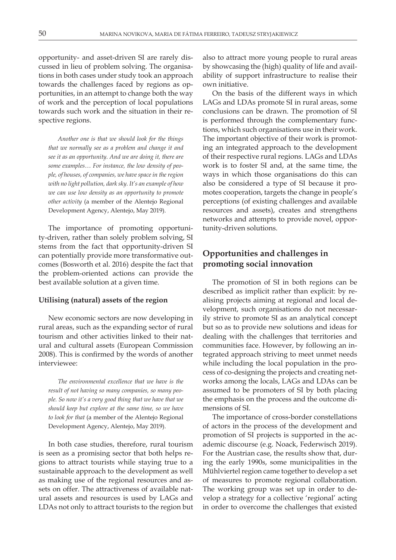opportunity- and asset-driven SI are rarely discussed in lieu of problem solving. The organisations in both cases under study took an approach towards the challenges faced by regions as opportunities, in an attempt to change both the way of work and the perception of local populations towards such work and the situation in their respective regions.

*Another one is that we should look for the things that we normally see as a problem and change it and see it as an opportunity. And we are doing it, there are some examples… For instance, the low density of people, of houses, of companies, we have space in the region with no light pollution, dark sky. It's an example of how we can use low density as an opportunity to promote other activity* (a member of the Alentejo Regional Development Agency, Alentejo, May 2019).

The importance of promoting opportunity-driven, rather than solely problem solving, SI stems from the fact that opportunity-driven SI can potentially provide more transformative outcomes (Bosworth et al. 2016) despite the fact that the problem-oriented actions can provide the best available solution at a given time.

#### **Utilising (natural) assets of the region**

New economic sectors are now developing in rural areas, such as the expanding sector of rural tourism and other activities linked to their natural and cultural assets (European Commission 2008). This is confirmed by the words of another interviewee:

*The environmental excellence that we have is the result of not having so many companies, so many people. So now it's a very good thing that we have that we should keep but explore at the same time, so we have to look for that* (a member of the Alentejo Regional Development Agency, Alentejo, May 2019).

In both case studies, therefore, rural tourism is seen as a promising sector that both helps regions to attract tourists while staying true to a sustainable approach to the development as well as making use of the regional resources and assets on offer. The attractiveness of available natural assets and resources is used by LAGs and LDAs not only to attract tourists to the region but

also to attract more young people to rural areas by showcasing the (high) quality of life and availability of support infrastructure to realise their own initiative.

On the basis of the different ways in which LAGs and LDAs promote SI in rural areas, some conclusions can be drawn. The promotion of SI is performed through the complementary functions, which such organisations use in their work. The important objective of their work is promoting an integrated approach to the development of their respective rural regions. LAGs and LDAs work is to foster SI and, at the same time, the ways in which those organisations do this can also be considered a type of SI because it promotes cooperation, targets the change in people's perceptions (of existing challenges and available resources and assets), creates and strengthens networks and attempts to provide novel, opportunity-driven solutions.

## **Opportunities and challenges in promoting social innovation**

The promotion of SI in both regions can be described as implicit rather than explicit: by realising projects aiming at regional and local development, such organisations do not necessarily strive to promote SI as an analytical concept but so as to provide new solutions and ideas for dealing with the challenges that territories and communities face. However, by following an integrated approach striving to meet unmet needs while including the local population in the process of co-designing the projects and creating networks among the locals, LAGs and LDAs can be assumed to be promoters of SI by both placing the emphasis on the process and the outcome dimensions of SI.

The importance of cross-border constellations of actors in the process of the development and promotion of SI projects is supported in the academic discourse (e.g. Noack, Federwisch 2019). For the Austrian case, the results show that, during the early 1990s, some municipalities in the Mühlviertel region came together to develop a set of measures to promote regional collaboration. The working group was set up in order to develop a strategy for a collective 'regional' acting in order to overcome the challenges that existed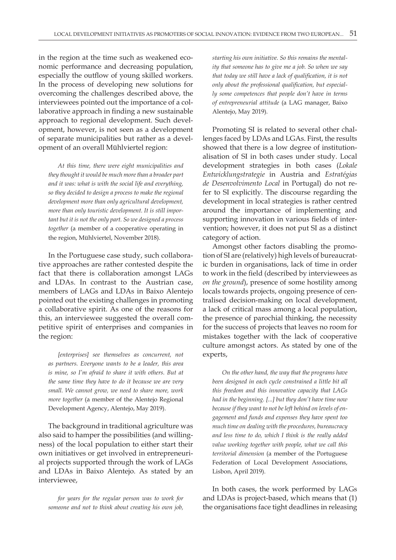in the region at the time such as weakened economic performance and decreasing population, especially the outflow of young skilled workers. In the process of developing new solutions for overcoming the challenges described above, the interviewees pointed out the importance of a collaborative approach in finding a new sustainable approach to regional development. Such development, however, is not seen as a development of separate municipalities but rather as a development of an overall Mühlviertel region:

*At this time, there were eight municipalities and they thought it would be much more than a broader part and it was: what is with the social life and everything, so they decided to design a process to make the regional development more than only agricultural development, more than only touristic development. It is still important but it is not the only part. So we designed a process together* (a member of a cooperative operating in the region, Mühlviertel, November 2018).

In the Portuguese case study, such collaborative approaches are rather contested despite the fact that there is collaboration amongst LAGs and LDAs. In contrast to the Austrian case, members of LAGs and LDAs in Baixo Alentejo pointed out the existing challenges in promoting a collaborative spirit. As one of the reasons for this, an interviewee suggested the overall competitive spirit of enterprises and companies in the region:

*[enterprises] see themselves as concurrent, not as partners. Everyone wants to be a leader, this area is mine, so I'm afraid to share it with others. But at the same time they have to do it because we are very small. We cannot grow, we need to share more, work more together* (a member of the Alentejo Regional Development Agency, Alentejo, May 2019).

The background in traditional agriculture was also said to hamper the possibilities (and willingness) of the local population to either start their own initiatives or get involved in entrepreneurial projects supported through the work of LAGs and LDAs in Baixo Alentejo. As stated by an interviewee,

*for years for the regular person was to work for someone and not to think about creating his own job,* 

*starting his own initiative. So this remains the mentality that someone has to give me a job. So when we say that today we still have a lack of qualification, it is not only about the professional qualification, but especially some competences that people don't have in terms of entrepreneurial attitude* (a LAG manager, Baixo Alentejo, May 2019).

Promoting SI is related to several other challenges faced by LDAs and LGAs. First, the results showed that there is a low degree of institutionalisation of SI in both cases under study. Local development strategies in both cases (*Lokale Entwicklungstrategie* in Austria and *Estratégias de Desenvolvimento Local* in Portugal) do not refer to SI explicitly. The discourse regarding the development in local strategies is rather centred around the importance of implementing and supporting innovation in various fields of intervention; however, it does not put SI as a distinct category of action.

Amongst other factors disabling the promotion of SI are (relatively) high levels of bureaucratic burden in organisations, lack of time in order to work in the field (described by interviewees as *on the ground*), presence of some hostility among locals towards projects, ongoing presence of centralised decision-making on local development, a lack of critical mass among a local population, the presence of parochial thinking, the necessity for the success of projects that leaves no room for mistakes together with the lack of cooperative culture amongst actors. As stated by one of the experts,

*On the other hand, the way that the programs have been designed in each cycle constrained a little bit all this freedom and this innovative capacity that LAGs had in the beginning. [...] but they don't have time now because if they want to not be left behind on levels of engagement and funds and expenses they have spent too much time on dealing with the procedures, bureaucracy and less time to do, which I think is the really added value working together with people, what we call this territorial dimension* (a member of the Portuguese Federation of Local Development Associations, Lisbon, April 2019).

In both cases, the work performed by LAGs and LDAs is project-based, which means that (1) the organisations face tight deadlines in releasing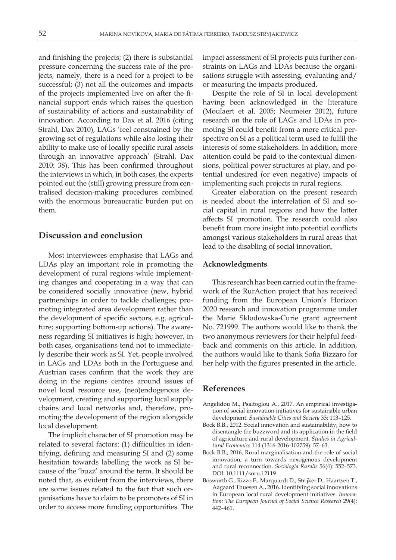and finishing the projects; (2) there is substantial pressure concerning the success rate of the projects, namely, there is a need for a project to be successful; (3) not all the outcomes and impacts of the projects implemented live on after the financial support ends which raises the question of sustainability of actions and sustainability of innovation. According to Dax et al. 2016 (citing Strahl, Dax 2010), LAGs 'feel constrained by the growing set of regulations while also losing their ability to make use of locally specific rural assets through an innovative approach' (Strahl, Dax 2010: 38). This has been confirmed throughout the interviews in which, in both cases, the experts pointed out the (still) growing pressure from centralised decision-making procedures combined with the enormous bureaucratic burden put on them.

### **Discussion and conclusion**

Most interviewees emphasise that LAGs and LDAs play an important role in promoting the development of rural regions while implementing changes and cooperating in a way that can be considered socially innovative (new, hybrid partnerships in order to tackle challenges; promoting integrated area development rather than the development of specific sectors, e.g. agriculture; supporting bottom-up actions). The awareness regarding SI initiatives is high; however, in both cases, organisations tend not to immediately describe their work as SI. Yet, people involved in LAGs and LDAs both in the Portuguese and Austrian cases confirm that the work they are doing in the regions centres around issues of novel local resource use, (neo)endogenous development, creating and supporting local supply chains and local networks and, therefore, promoting the development of the region alongside local development.

The implicit character of SI promotion may be related to several factors: (1) difficulties in identifying, defining and measuring SI and (2) some hesitation towards labelling the work as SI because of the 'buzz' around the term. It should be noted that, as evident from the interviews, there are some issues related to the fact that such organisations have to claim to be promoters of SI in order to access more funding opportunities. The impact assessment of SI projects puts further constraints on LAGs and LDAs because the organisations struggle with assessing, evaluating and/ or measuring the impacts produced.

Despite the role of SI in local development having been acknowledged in the literature (Moulaert et al. 2005; Neumeier 2012), future research on the role of LAGs and LDAs in promoting SI could benefit from a more critical perspective on SI as a political term used to fulfil the interests of some stakeholders. In addition, more attention could be paid to the contextual dimensions, political power structures at play, and potential undesired (or even negative) impacts of implementing such projects in rural regions.

Greater elaboration on the present research is needed about the interrelation of SI and social capital in rural regions and how the latter affects SI promotion. The research could also benefit from more insight into potential conflicts amongst various stakeholders in rural areas that lead to the disabling of social innovation.

#### **Acknowledgments**

This research has been carried out in the framework of the RurAction project that has received funding from the European Union's Horizon 2020 research and innovation programme under the Marie Sklodowska-Curie grant agreement No. 721999. The authors would like to thank the two anonymous reviewers for their helpful feedback and comments on this article. In addition, the authors would like to thank Sofia Bizzaro for her help with the figures presented in the article.

#### **References**

- Angelidou M., Psaltoglou A., 2017. An empirical investigation of social innovation initiatives for sustainable urban development. *Sustainable Cities and Society* 33: 113–125.
- Bock B.B., 2012. Social innovation and sustainability; how to disentangle the buzzword and its application in the field of agriculture and rural development. *Studies in Agricultural Economics* 114 (1316-2016-102759): 57–63.
- Bock B.B., 2016. Rural marginalisation and the role of social innovation; a turn towards nexogenous development and rural reconnection. *Sociologia Ruralis* 56(4): 552–573. DOI: 10.1111/soru.12119
- Bosworth G., Rizzo F., Marquardt D., Strijker D., Haartsen T., Aagaard Thuesen A., 2016. Identifying social innovations in European local rural development initiatives. *Innovation: The European Journal of Social Science Research* 29(4): 442–461.